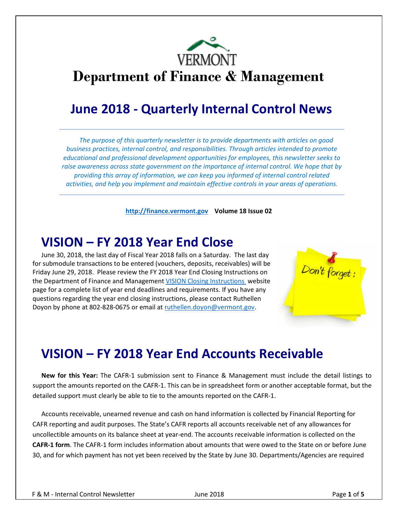

## **Department of Finance & Management**

## **June 2018 - Quarterly Internal Control News**

*The purpose of this quarterly newsletter is to provide departments with articles on good business practices, internal control, and responsibilities. Through articles intended to promote educational and professional development opportunities for employees, this newsletter seeks to raise awareness across state government on the importance of internal control. We hope that by providing this array of information, we can keep you informed of internal control related activities, and help you implement and maintain effective controls in your areas of operations.*

**[http://finance.vermont.gov](http://finance.vermont.gov/) Volume 18 Issue 02**

## **VISION – FY 2018 Year End Close**

June 30, 2018, the last day of Fiscal Year 2018 falls on a Saturday. The last day for submodule transactions to be entered (vouchers, deposits, receivables) will be Friday June 29, 2018. Please review the FY 2018 Year End Closing Instructions on the Department of Finance and Management [VISION Closing Instructions](http://finance.vermont.gov/policies-and-procedures/vision-closing-instructions) website page for a complete list of year end deadlines and requirements. If you have any questions regarding the year end closing instructions, please contact Ruthellen Doyon by phone at 802-828-0675 or email at [ruthellen.doyon@vermont.gov.](mailto:ruthellen.doyon@vermont.gov)



## **VISION – FY 2018 Year End Accounts Receivable**

**New for this Year:** The CAFR-1 submission sent to Finance & Management must include the detail listings to support the amounts reported on the CAFR-1. This can be in spreadsheet form or another acceptable format, but the detailed support must clearly be able to tie to the amounts reported on the CAFR-1.

Accounts receivable, unearned revenue and cash on hand information is collected by Financial Reporting for CAFR reporting and audit purposes. The State's CAFR reports all accounts receivable net of any allowances for uncollectible amounts on its balance sheet at year-end. The accounts receivable information is collected on the **CAFR-1 form**. The CAFR-1 form includes information about amounts that were owed to the State on or before June 30, and for which payment has not yet been received by the State by June 30. Departments/Agencies are required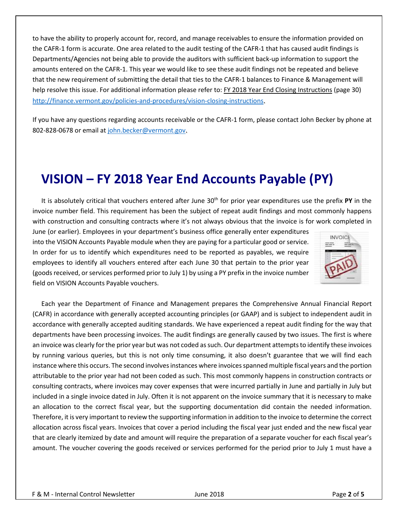to have the ability to properly account for, record, and manage receivables to ensure the information provided on the CAFR-1 form is accurate. One area related to the audit testing of the CAFR-1 that has caused audit findings is Departments/Agencies not being able to provide the auditors with sufficient back-up information to support the amounts entered on the CAFR-1. This year we would like to see these audit findings not be repeated and believe that the new requirement of submitting the detail that ties to the CAFR-1 balances to Finance & Management will help resolve this issue. For additional information please refer to: FY 2018 Year End Closing Instructions (page 30) [http://finance.vermont.gov/policies-and-procedures/vision-closing-instructions.](http://finance.vermont.gov/policies-and-procedures/vision-closing-instructions)

If you have any questions regarding accounts receivable or the CAFR-1 form, please contact John Becker by phone at 802-828-0678 or email a[t john.becker@vermont.gov.](mailto:john.becker@vermont.gov)

## **VISION – FY 2018 Year End Accounts Payable (PY)**

It is absolutely critical that vouchers entered after June 30<sup>th</sup> for prior year expenditures use the prefix PY in the invoice number field. This requirement has been the subject of repeat audit findings and most commonly happens with construction and consulting contracts where it's not always obvious that the invoice is for work completed in

June (or earlier). Employees in your department's business office generally enter expenditures into the VISION Accounts Payable module when they are paying for a particular good or service. In order for us to identify which expenditures need to be reported as payables, we require employees to identify all vouchers entered after each June 30 that pertain to the prior year (goods received, or services performed prior to July 1) by using a PY prefix in the invoice number field on VISION Accounts Payable vouchers.



Each year the Department of Finance and Management prepares the Comprehensive Annual Financial Report (CAFR) in accordance with generally accepted accounting principles (or GAAP) and is subject to independent audit in accordance with generally accepted auditing standards. We have experienced a repeat audit finding for the way that departments have been processing invoices. The audit findings are generally caused by two issues. The first is where an invoice was clearly for the prior year but was not coded as such. Our department attempts to identify these invoices by running various queries, but this is not only time consuming, it also doesn't guarantee that we will find each instance where this occurs. The second involves instances where invoices spanned multiple fiscal years and the portion attributable to the prior year had not been coded as such. This most commonly happens in construction contracts or consulting contracts, where invoices may cover expenses that were incurred partially in June and partially in July but included in a single invoice dated in July. Often it is not apparent on the invoice summary that it is necessary to make an allocation to the correct fiscal year, but the supporting documentation did contain the needed information. Therefore, it is very important to review the supporting information in addition to the invoice to determine the correct allocation across fiscal years. Invoices that cover a period including the fiscal year just ended and the new fiscal year that are clearly itemized by date and amount will require the preparation of a separate voucher for each fiscal year's amount. The voucher covering the goods received or services performed for the period prior to July 1 must have a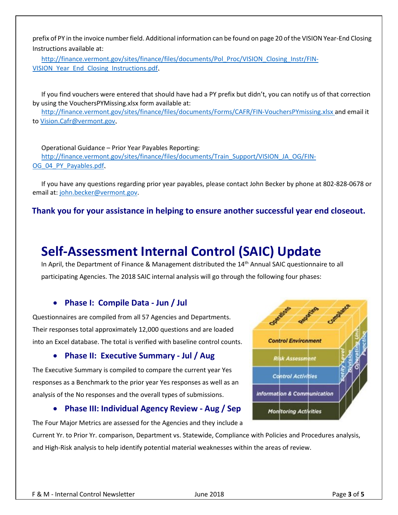prefix of PY in the invoice number field. Additional information can be found on page 20 of the VISION Year-End Closing Instructions available at:

[http://finance.vermont.gov/sites/finance/files/documents/Pol\\_Proc/VISION\\_Closing\\_Instr/FIN-](http://finance.vermont.gov/sites/finance/files/documents/Pol_Proc/VISION_Closing_Instr/FIN-VISION_Year_End_Closing_Instructions.pdf)VISION Year End Closing Instructions.pdf.

If you find vouchers were entered that should have had a PY prefix but didn't, you can notify us of that correction by using the VouchersPYMissing.xlsx form available at:

<http://finance.vermont.gov/sites/finance/files/documents/Forms/CAFR/FIN-VouchersPYmissing.xlsx> and email it to [Vision.Cafr@vermont.gov.](mailto:Vision.Cafr@vermont.gov)

Operational Guidance – Prior Year Payables Reporting: [http://finance.vermont.gov/sites/finance/files/documents/Train\\_Support/VISION\\_JA\\_OG/FIN-](http://finance.vermont.gov/sites/finance/files/documents/Train_Support/VISION_JA_OG/FIN-OG_04_PY_Payables.pdf)[OG\\_04\\_PY\\_Payables.pdf.](http://finance.vermont.gov/sites/finance/files/documents/Train_Support/VISION_JA_OG/FIN-OG_04_PY_Payables.pdf)

If you have any questions regarding prior year payables, please contact John Becker by phone at 802-828-0678 or email at: [john.becker@vermont.gov.](mailto:john.becker@vermont.gov)

**Thank you for your assistance in helping to ensure another successful year end closeout.**

## **Self-Assessment Internal Control (SAIC) Update**

In April, the Department of Finance & Management distributed the 14<sup>th</sup> Annual SAIC questionnaire to all participating Agencies. The 2018 SAIC internal analysis will go through the following four phases:

#### • **Phase I: Compile Data - Jun / Jul**

Questionnaires are compiled from all 57 Agencies and Departments. Their responses total approximately 12,000 questions and are loaded into an Excel database. The total is verified with baseline control counts.

#### • **Phase II: Executive Summary - Jul / Aug**

The Executive Summary is compiled to compare the current year Yes responses as a Benchmark to the prior year Yes responses as well as an analysis of the No responses and the overall types of submissions.

#### • **Phase III: Individual Agency Review - Aug / Sep**

The Four Major Metrics are assessed for the Agencies and they include a

Current Yr. to Prior Yr. comparison, Department vs. Statewide, Compliance with Policies and Procedures analysis, and High-Risk analysis to help identify potential material weaknesses within the areas of review.

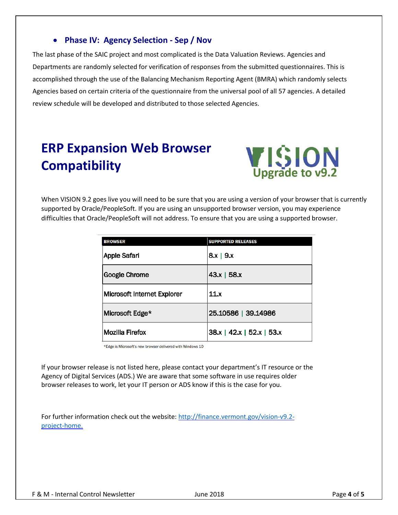### • **Phase IV: Agency Selection - Sep / Nov**

The last phase of the SAIC project and most complicated is the Data Valuation Reviews. Agencies and Departments are randomly selected for verification of responses from the submitted questionnaires. This is accomplished through the use of the Balancing Mechanism Reporting Agent (BMRA) which randomly selects Agencies based on certain criteria of the questionnaire from the universal pool of all 57 agencies. A detailed review schedule will be developed and distributed to those selected Agencies.

## **ERP Expansion Web Browser Compatibility**



When VISION 9.2 goes live you will need to be sure that you are using a version of your browser that is currently supported by Oracle/PeopleSoft. If you are using an unsupported browser version, you may experience difficulties that Oracle/PeopleSoft will not address. To ensure that you are using a supported browser.

| <b>BROWSER</b>              | <b>SUPPORTED RELEASES</b>  |
|-----------------------------|----------------------------|
| <b>Apple Safari</b>         | $8x \mid 9x$               |
| <b>Google Chrome</b>        | 43x   58x                  |
| Microsoft Internet Explorer | 11.x                       |
| Microsoft Edge*             | 25.10586   39.14986        |
| Mozilla Firefox             | $ 38x $ 42.x   52.x   53.x |

\*Edge is Microsoft's new browser delivered with Windows 10

If your browser release is not listed here, please contact your department's IT resource or the Agency of Digital Services (ADS.) We are aware that some software in use requires older browser releases to work, let your IT person or ADS know if this is the case for you.

For further information check out the website: [http://finance.vermont.gov/vision-v9.2](http://finance.vermont.gov/vision-v9.2-project-home) [project-home.](http://finance.vermont.gov/vision-v9.2-project-home)